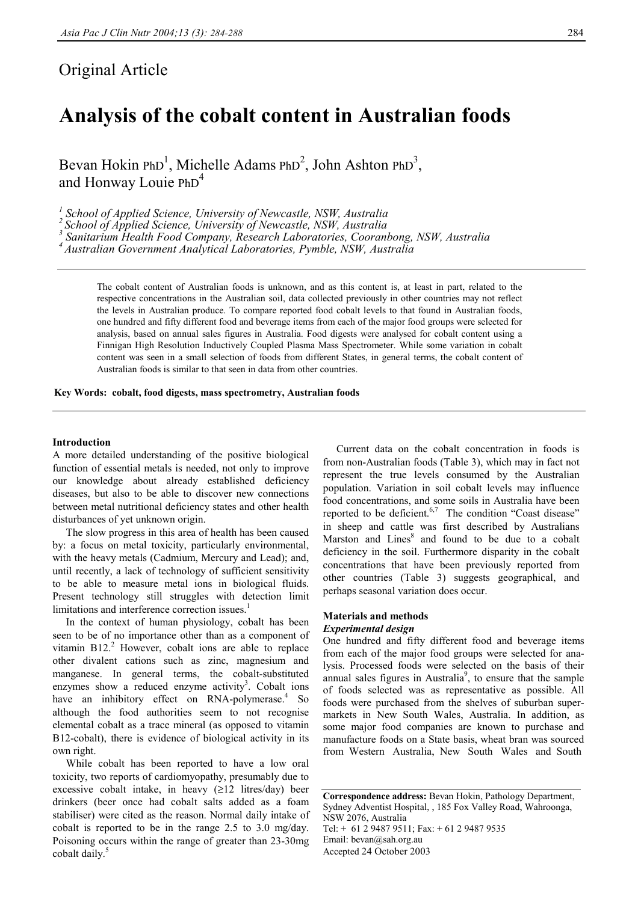## Original Article

# **Analysis of the cobalt content in Australian foods**

Bevan Hokin PhD<sup>1</sup>, Michelle Adams PhD<sup>2</sup>, John Ashton PhD<sup>3</sup>, and Honway Louie PhD<sup>4</sup>

<sup>1</sup> School of Applied Science, University of Newcastle, NSW, Australia

*2 School of Applied Science, University of Newcastle, NSW, Australia 3*

 *Sanitarium Health Food Company, Research Laboratories, Cooranbong, NSW, Australia* 

*4 Australian Government Analytical Laboratories, Pymble, NSW, Australia* 

The cobalt content of Australian foods is unknown, and as this content is, at least in part, related to the respective concentrations in the Australian soil, data collected previously in other countries may not reflect the levels in Australian produce. To compare reported food cobalt levels to that found in Australian foods, one hundred and fifty different food and beverage items from each of the major food groups were selected for analysis, based on annual sales figures in Australia. Food digests were analysed for cobalt content using a Finnigan High Resolution Inductively Coupled Plasma Mass Spectrometer. While some variation in cobalt content was seen in a small selection of foods from different States, in general terms, the cobalt content of Australian foods is similar to that seen in data from other countries.

**Key Words: cobalt, food digests, mass spectrometry, Australian foods** 

#### **Introduction**

A more detailed understanding of the positive biological function of essential metals is needed, not only to improve our knowledge about already established deficiency diseases, but also to be able to discover new connections between metal nutritional deficiency states and other health disturbances of yet unknown origin.

 The slow progress in this area of health has been caused by: a focus on metal toxicity, particularly environmental, with the heavy metals (Cadmium, Mercury and Lead); and, until recently, a lack of technology of sufficient sensitivity to be able to measure metal ions in biological fluids. Present technology still struggles with detection limit limitations and interference correction issues.<sup>1</sup>

 In the context of human physiology, cobalt has been seen to be of no importance other than as a component of vitamin  $B12<sup>2</sup>$  However, cobalt ions are able to replace other divalent cations such as zinc, magnesium and manganese. In general terms, the cobalt-substituted enzymes show a reduced enzyme activity<sup>3</sup>. Cobalt ions have an inhibitory effect on RNA-polymerase.<sup>4</sup> So although the food authorities seem to not recognise elemental cobalt as a trace mineral (as opposed to vitamin B12-cobalt), there is evidence of biological activity in its own right.

 While cobalt has been reported to have a low oral toxicity, two reports of cardiomyopathy, presumably due to excessive cobalt intake, in heavy  $(\geq 12$  litres/day) been drinkers (beer once had cobalt salts added as a foam stabiliser) were cited as the reason. Normal daily intake of cobalt is reported to be in the range 2.5 to 3.0 mg/day. Poisoning occurs within the range of greater than 23-30mg cobalt daily.<sup>5</sup>

 Current data on the cobalt concentration in foods is from non-Australian foods (Table 3), which may in fact not represent the true levels consumed by the Australian population. Variation in soil cobalt levels may influence food concentrations, and some soils in Australia have been reported to be deficient.<sup>6,7</sup> The condition "Coast disease" in sheep and cattle was first described by Australians Marston and Lines<sup>8</sup> and found to be due to a cobalt deficiency in the soil. Furthermore disparity in the cobalt concentrations that have been previously reported from other countries (Table 3) suggests geographical, and perhaps seasonal variation does occur.

#### **Materials and methods**  *Experimental design*

One hundred and fifty different food and beverage items from each of the major food groups were selected for analysis. Processed foods were selected on the basis of their annual sales figures in Australia<sup>9</sup>, to ensure that the sample of foods selected was as representative as possible. All foods were purchased from the shelves of suburban supermarkets in New South Wales, Australia. In addition, as some major food companies are known to purchase and manufacture foods on a State basis, wheat bran was sourced from Western Australia, New South Wales and South

**Correspondence address:** Bevan Hokin, Pathology Department, Sydney Adventist Hospital, , 185 Fox Valley Road, Wahroonga, NSW 2076, Australia Tel: + 61 2 9487 9511; Fax: + 61 2 9487 9535 Email: bevan@sah.org.au Accepted 24 October 2003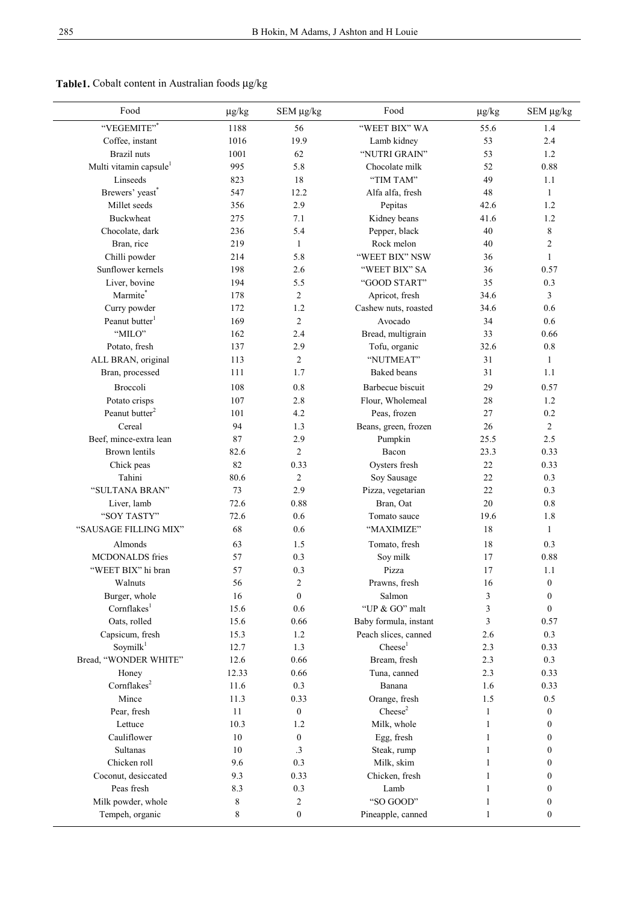### **Table1.** Cobalt content in Australian foods µg/kg

| Food                                          | $\mu$ g/kg | SEM µg/kg             | Food                                     | $\mu$ g/kg   | SEM µg/kg                            |
|-----------------------------------------------|------------|-----------------------|------------------------------------------|--------------|--------------------------------------|
| "VEGEMITE"*                                   | 1188       | 56                    | "WEET BIX" WA                            | 55.6         | 1.4                                  |
| Coffee, instant                               | 1016       | 19.9                  | Lamb kidney                              | 53           | 2.4                                  |
| Brazil nuts                                   | 1001       | 62                    | "NUTRI GRAIN"                            | 53           | 1.2                                  |
| Multi vitamin capsule <sup>1</sup>            | 995        | 5.8                   | Chocolate milk                           | 52           | 0.88                                 |
| Linseeds                                      | 823        | 18                    | "TIM TAM"                                | 49           | 1.1                                  |
| Brewers' yeast*                               | 547        | 12.2                  | Alfa alfa, fresh                         | 48           | 1                                    |
| Millet seeds                                  | 356        | 2.9                   | Pepitas                                  | 42.6         | 1.2                                  |
| <b>Buckwheat</b>                              | 275        | 7.1                   | Kidney beans                             | 41.6         | 1.2                                  |
| Chocolate, dark                               | 236        | 5.4                   | Pepper, black                            | 40           | $\,8\,$                              |
| Bran, rice                                    | 219        | $\mathbf{1}$          | Rock melon                               | 40           | $\overline{c}$                       |
| Chilli powder                                 | 214        | 5.8                   | "WEET BIX" NSW                           | 36           | 1                                    |
| Sunflower kernels                             | 198        | 2.6                   | "WEET BIX" SA                            | 36           | 0.57                                 |
| Liver, bovine                                 | 194        | 5.5                   | "GOOD START"                             | 35           | 0.3                                  |
| Marmite*                                      | 178        | $\overline{2}$        | Apricot, fresh                           | 34.6         | 3                                    |
| Curry powder                                  | 172        | 1.2                   | Cashew nuts, roasted                     | 34.6         | 0.6                                  |
| Peanut butter <sup>1</sup>                    | 169        | $\overline{2}$        | Avocado                                  | 34           | 0.6                                  |
| "MILO"                                        | 162        | 2.4                   | Bread, multigrain                        | 33           | 0.66                                 |
| Potato, fresh                                 | 137        | 2.9                   | Tofu, organic                            | 32.6         | 0.8                                  |
| ALL BRAN, original                            | 113        | $\overline{2}$        | "NUTMEAT"                                | 31           | $\mathbf{1}$                         |
| Bran, processed                               | 111        | 1.7                   | <b>Baked</b> beans                       | 31           | 1.1                                  |
| Broccoli                                      | 108        | 0.8                   | Barbecue biscuit                         | 29           | 0.57                                 |
| Potato crisps                                 | 107        | 2.8                   | Flour, Wholemeal                         | 28           | 1.2                                  |
| Peanut butter <sup>2</sup>                    | 101        | 4.2                   | Peas, frozen                             | 27           | 0.2                                  |
| Cereal                                        | 94         | 1.3                   | Beans, green, frozen                     | 26           | 2                                    |
| Beef, mince-extra lean                        | 87         | 2.9                   | Pumpkin                                  | 25.5         | 2.5                                  |
| <b>Brown</b> lentils                          | 82.6       | $\overline{2}$        | Bacon                                    | 23.3         | 0.33                                 |
| Chick peas                                    | 82         | 0.33                  | Oysters fresh                            | 22           | 0.33                                 |
| Tahini                                        | 80.6       | 2                     | Soy Sausage                              | 22           | 0.3                                  |
| "SULTANA BRAN"                                | 73         | 2.9                   | Pizza, vegetarian                        | 22           | 0.3                                  |
| Liver, lamb                                   | 72.6       | 0.88                  | Bran, Oat                                | 20           | 0.8                                  |
| "SOY TASTY"                                   | 72.6       | 0.6                   | Tomato sauce                             | 19.6         | 1.8                                  |
| "SAUSAGE FILLING MIX"                         | 68         | 0.6                   | "MAXIMIZE"                               | 18           | $\mathbf{1}$                         |
| Almonds                                       | 63         | 1.5                   |                                          | 18           | 0.3                                  |
| MCDONALDS fries                               | 57         | 0.3                   | Tomato, fresh<br>Soy milk                | 17           | 0.88                                 |
| "WEET BIX" hi bran                            | 57         | 0.3                   | Pizza                                    | 17           | 1.1                                  |
|                                               |            |                       |                                          |              |                                      |
| Walnuts                                       | 56<br>16   | 2<br>$\boldsymbol{0}$ | Prawns, fresh<br>Salmon                  | 16           | $\boldsymbol{0}$                     |
| Burger, whole<br>Cornflakes <sup>1</sup>      | 15.6       |                       | "UP & GO" malt                           | 3            | $\boldsymbol{0}$<br>$\boldsymbol{0}$ |
|                                               |            | 0.6                   |                                          | 3<br>3       |                                      |
| Oats, rolled<br>Capsicum, fresh               | 15.6       | 0.66                  | Baby formula, instant                    | 2.6          | 0.57                                 |
|                                               | 15.3       | 1.2                   | Peach slices, canned<br>$\text{Check}^1$ |              | 0.3                                  |
| Soymilk <sup>1</sup><br>Bread, "WONDER WHITE" | 12.7       | 1.3                   |                                          | 2.3          | 0.33                                 |
|                                               | 12.6       | 0.66                  | Bream, fresh                             | 2.3          | 0.3                                  |
| Honey                                         | 12.33      | 0.66                  | Tuna, canned                             | 2.3          | 0.33                                 |
| Cornflakes <sup>2</sup>                       | 11.6       | 0.3                   | Banana                                   | 1.6          | 0.33                                 |
| Mince                                         | 11.3       | 0.33                  | Orange, fresh                            | 1.5          | 0.5                                  |
| Pear, fresh                                   | 11         | $\boldsymbol{0}$      | $\text{Check}^2$                         | $\mathbf{1}$ | $\boldsymbol{0}$                     |
| Lettuce                                       | 10.3       | 1.2                   | Milk, whole                              | 1            | 0                                    |
| Cauliflower                                   | 10         | $\boldsymbol{0}$      | Egg, fresh                               | 1            | 0                                    |
| Sultanas                                      | 10         | .3                    | Steak, rump                              | 1            | 0                                    |
| Chicken roll                                  | 9.6        | 0.3                   | Milk, skim                               | 1            | $\boldsymbol{0}$                     |
| Coconut, desiccated                           | 9.3        | 0.33                  | Chicken, fresh                           | 1            | $\boldsymbol{0}$                     |
| Peas fresh                                    | 8.3        | 0.3                   | Lamb                                     | 1            | $\boldsymbol{0}$                     |
| Milk powder, whole                            | 8          | 2                     | "SO GOOD"                                | 1            | $\boldsymbol{0}$                     |
| Tempeh, organic                               | 8          | $\boldsymbol{0}$      | Pineapple, canned                        | 1            | $\boldsymbol{0}$                     |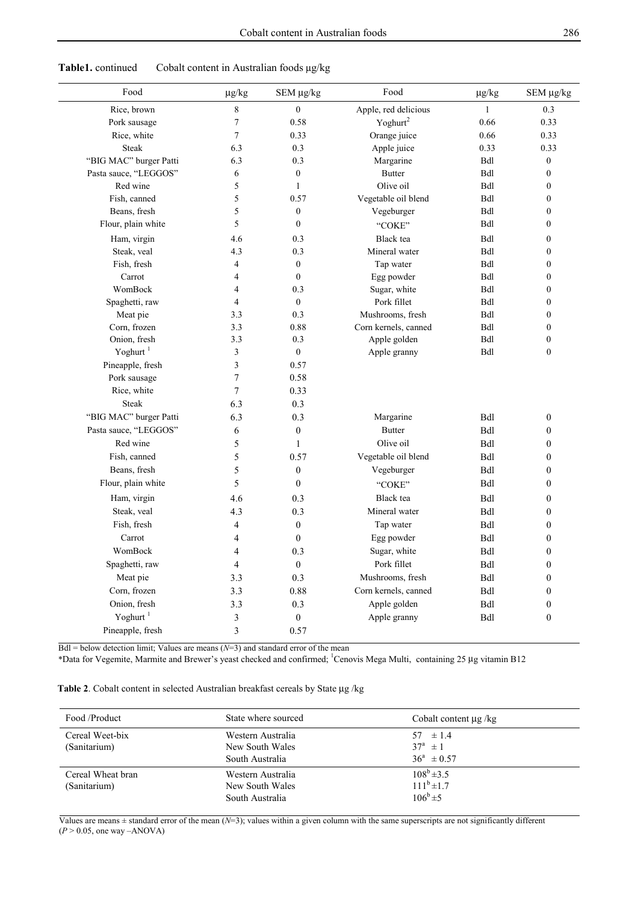| Food                   | $\mu$ g/kg     | SEM µg/kg                | Food                 | $\mu$ g/kg   | SEM µg/kg        |
|------------------------|----------------|--------------------------|----------------------|--------------|------------------|
| Rice, brown            | $\,$ $\,$      | $\mathbf{0}$             | Apple, red delicious | $\mathbf{1}$ | 0.3              |
| Pork sausage           | 7              | 0.58                     | Yoghurt <sup>2</sup> | 0.66         | 0.33             |
| Rice, white            | 7              | 0.33                     | Orange juice         | 0.66         | 0.33             |
| <b>Steak</b>           | 6.3            | 0.3                      | Apple juice          | 0.33         | 0.33             |
| "BIG MAC" burger Patti | 6.3            | 0.3                      | Margarine            | Bdl          | $\boldsymbol{0}$ |
| Pasta sauce, "LEGGOS"  | 6              | $\boldsymbol{0}$         | <b>Butter</b>        | Bdl          | $\boldsymbol{0}$ |
| Red wine               | 5              | 1                        | Olive oil            | Bdl          | $\boldsymbol{0}$ |
| Fish, canned           | 5              | 0.57                     | Vegetable oil blend  | <b>Bdl</b>   | 0                |
| Beans, fresh           | 5              | $\boldsymbol{0}$         | Vegeburger           | Bdl          | $\boldsymbol{0}$ |
| Flour, plain white     | 5              | $\boldsymbol{0}$         | "COKE"               | Bdl          | 0                |
| Ham, virgin            | 4.6            | 0.3                      | Black tea            | Bdl          | $\boldsymbol{0}$ |
| Steak, veal            | 4.3            | 0.3                      | Mineral water        | Bdl          | $\boldsymbol{0}$ |
| Fish, fresh            | 4              | $\boldsymbol{0}$         | Tap water            | Bdl          | $\boldsymbol{0}$ |
| Carrot                 | 4              | $\boldsymbol{0}$         | Egg powder           | Bdl          | $\boldsymbol{0}$ |
| WomBock                | 4              | 0.3                      | Sugar, white         | Bdl          | $\boldsymbol{0}$ |
| Spaghetti, raw         | 4              | $\mathbf{0}$             | Pork fillet          | Bdl          | 0                |
| Meat pie               | 3.3            | 0.3                      | Mushrooms, fresh     | Bdl          | 0                |
| Corn, frozen           | 3.3            | 0.88                     | Corn kernels, canned | Bdl          | 0                |
| Onion, fresh           | 3.3            | 0.3                      | Apple golden         | Bdl          | $\boldsymbol{0}$ |
| Yoghurt <sup>1</sup>   | 3              | $\boldsymbol{0}$         | Apple granny         | Bdl          | $\boldsymbol{0}$ |
| Pineapple, fresh       | 3              | 0.57                     |                      |              |                  |
| Pork sausage           | 7              | 0.58                     |                      |              |                  |
| Rice, white            | $\overline{7}$ | 0.33                     |                      |              |                  |
| <b>Steak</b>           | 6.3            | 0.3                      |                      |              |                  |
| "BIG MAC" burger Patti | 6.3            | 0.3                      | Margarine            | <b>Bdl</b>   | $\boldsymbol{0}$ |
| Pasta sauce, "LEGGOS"  | 6              | $\boldsymbol{0}$         | <b>Butter</b>        | <b>Bdl</b>   | 0                |
| Red wine               | 5              | $\mathbf{1}$             | Olive oil            | <b>Bdl</b>   | 0                |
| Fish, canned           | 5              | 0.57                     | Vegetable oil blend  | <b>Bdl</b>   | 0                |
| Beans, fresh           | 5              | $\boldsymbol{0}$         | Vegeburger           | <b>Bdl</b>   | 0                |
| Flour, plain white     | 5              | $\boldsymbol{0}$         | "COKE"               | <b>Bdl</b>   | 0                |
| Ham, virgin            | 4.6            | 0.3                      | Black tea            | <b>Bdl</b>   | 0                |
| Steak, veal            | 4.3            | 0.3                      | Mineral water        | <b>Bdl</b>   | 0                |
| Fish, fresh            | 4              | $\boldsymbol{0}$         | Tap water            | <b>Bdl</b>   | 0                |
| Carrot                 | 4              | $\boldsymbol{0}$         | Egg powder           | Bdl          | 0                |
| WomBock                | 4              | 0.3                      | Sugar, white         | <b>Bdl</b>   | $\boldsymbol{0}$ |
| Spaghetti, raw         | 4              | $\boldsymbol{0}$         | Pork fillet          | Bdl          |                  |
| Meat pie               |                | 0.3                      | Mushrooms, fresh     | Bdl          | $\boldsymbol{0}$ |
|                        | 3.3            |                          |                      |              | $\boldsymbol{0}$ |
| Corn, frozen           | 3.3            | $0.88\,$                 | Corn kernels, canned | Bdl          | $\boldsymbol{0}$ |
| Onion, fresh           | 3.3            | 0.3                      | Apple golden         | Bdl          | $\boldsymbol{0}$ |
| Yoghurt <sup>1</sup>   | 3              | $\boldsymbol{0}$<br>0.57 | Apple granny         | Bdl          | $\boldsymbol{0}$ |

Table1. continued Cobalt content in Australian foods  $\mu$ g/kg

 $Bdl =$  below detection limit; Values are means  $(N=3)$  and standard error of the mean

\*Data for Vegemite, Marmite and Brewer's yeast checked and confirmed; 1 Cenovis Mega Multi, containing 25 µg vitamin B12

|  | Table 2. Cobalt content in selected Australian breakfast cereals by State µg /kg |  |  |  |  |  |
|--|----------------------------------------------------------------------------------|--|--|--|--|--|
|--|----------------------------------------------------------------------------------|--|--|--|--|--|

| Food /Product                     | State where sourced                                     | Cobalt content $\mu$ g /kg                          |
|-----------------------------------|---------------------------------------------------------|-----------------------------------------------------|
| Cereal Weet-bix<br>(Sanitarium)   | Western Australia<br>New South Wales<br>South Australia | $57 \pm 1.4$<br>$37^a \pm 1$<br>$36^a \pm 0.57$     |
| Cereal Wheat bran<br>(Sanitarium) | Western Australia<br>New South Wales<br>South Australia | $108^b \pm 3.5$<br>$111^b \pm 1.7$<br>$106^b \pm 5$ |

Values are means  $\pm$  standard error of the mean ( $N=3$ ); values within a given column with the same superscripts are not significantly different  $(P > 0.05$ , one way –ANOVA)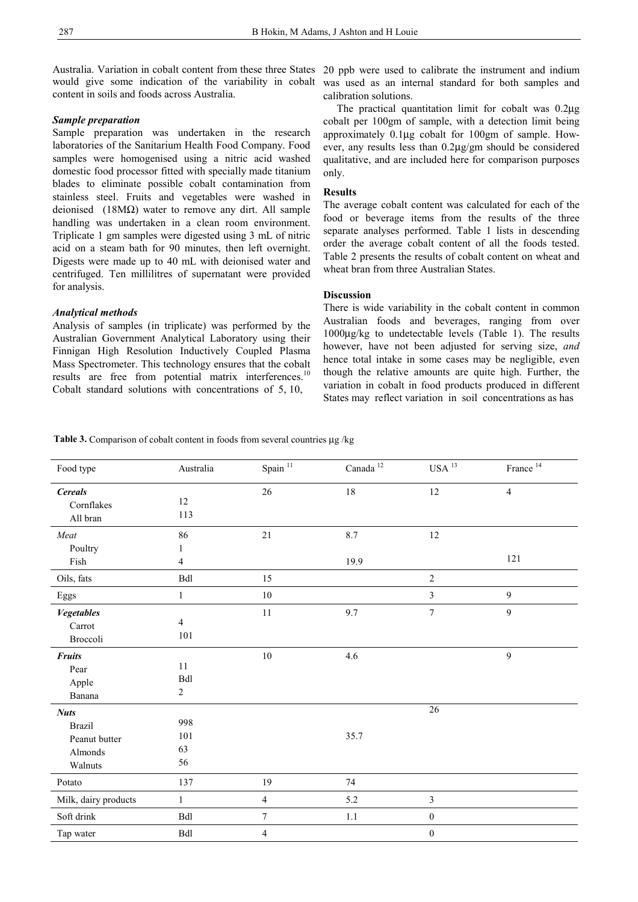would give some indication of the variability in cobalt content in soils and foods across Australia.

#### *Sample preparation*

Sample preparation was undertaken in the research laboratories of the Sanitarium Health Food Company. Food samples were homogenised using a nitric acid washed domestic food processor fitted with specially made titanium blades to eliminate possible cobalt contamination from stainless steel. Fruits and vegetables were washed in deionised (18MΩ) water to remove any dirt. All sample handling was undertaken in a clean room environment. Triplicate 1 gm samples were digested using 3 mL of nitric acid on a steam bath for 90 minutes, then left overnight. Digests were made up to 40 mL with deionised water and centrifuged. Ten millilitres of supernatant were provided for analysis.

#### *Analytical methods*

Analysis of samples (in triplicate) was performed by the Australian Government Analytical Laboratory using their Finnigan High Resolution Inductively Coupled Plasma Mass Spectrometer. This technology ensures that the cobalt results are free from potential matrix interferences.<sup>10</sup> Cobalt standard solutions with concentrations of 5, 10,

Australia. Variation in cobalt content from these three States 20 ppb were used to calibrate the instrument and indium was used as an internal standard for both samples and calibration solutions.

> The practical quantitation limit for cobalt was 0.2µg cobalt per 100gm of sample, with a detection limit being approximately 0.1µg cobalt for 100gm of sample. However, any results less than 0.2µg/gm should be considered qualitative, and are included here for comparison purposes only.

#### **Results**

The average cobalt content was calculated for each of the food or beverage items from the results of the three separate analyses performed. Table 1 lists in descending order the average cobalt content of all the foods tested. Table 2 presents the results of cobalt content on wheat and wheat bran from three Australian States.

#### **Discussion**

There is wide variability in the cobalt content in common Australian foods and beverages, ranging from over 1000µg/kg to undetectable levels (Table 1). The results however, have not been adjusted for serving size, *and*  hence total intake in some cases may be negligible, even though the relative amounts are quite high. Further, the variation in cobalt in food products produced in different States may reflect variation in soil concentrations as has

Table 3. Comparison of cobalt content in foods from several countries µg /kg

| Food type                                                           | Australia                     | Spain $^{\rm 11}$       | Canada $^{\mathrm{12}}$ | $USA$<br>$^{13}$ | France $14$    |
|---------------------------------------------------------------------|-------------------------------|-------------------------|-------------------------|------------------|----------------|
| <b>Cereals</b><br>Cornflakes<br>All bran                            | 12<br>113                     | $26\,$                  | $18\,$                  | $12\,$           | $\overline{4}$ |
| Meat                                                                | 86                            | 21                      | 8.7                     | $12\,$           |                |
| Poultry<br>Fish                                                     | 1<br>$\overline{4}$           |                         | 19.9                    |                  | 121            |
| Oils, fats                                                          | Bdl                           | 15                      |                         | $\sqrt{2}$       |                |
| Eggs                                                                | $\,1$                         | $10\,$                  |                         | 3                | 9              |
| Vegetables<br>Carrot<br>Broccoli                                    | $\overline{4}$<br>$101\,$     | 11                      | 9.7                     | $\boldsymbol{7}$ | 9              |
| <b>Fruits</b><br>Pear<br>Apple<br>Banana                            | 11<br>Bdl<br>$\boldsymbol{2}$ | $10\,$                  | 4.6                     |                  | 9              |
| <b>Nuts</b><br><b>Brazil</b><br>Peanut butter<br>Almonds<br>Walnuts | 998<br>101<br>63<br>56        |                         | 35.7                    | 26               |                |
| Potato                                                              | 137                           | 19                      | 74                      |                  |                |
| Milk, dairy products                                                | $\mathbf{1}$                  | $\overline{\mathbf{4}}$ | 5.2                     | 3                |                |
| Soft drink                                                          | <b>Bdl</b>                    | $\boldsymbol{7}$        | 1.1                     | $\boldsymbol{0}$ |                |
| Tap water                                                           | Bdl                           | $\overline{4}$          |                         | $\boldsymbol{0}$ |                |